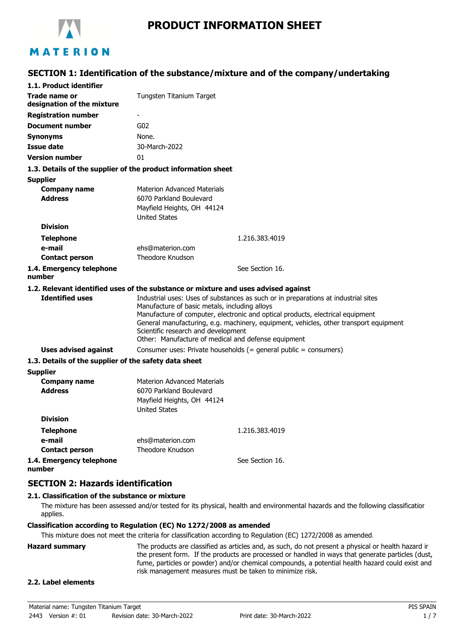

# **SECTION 1: Identification of the substance/mixture and of the company/undertaking**

| 1.1. Product identifier                                                            |                                                                                                                                             |                                                                                                                                                                                                                                                               |
|------------------------------------------------------------------------------------|---------------------------------------------------------------------------------------------------------------------------------------------|---------------------------------------------------------------------------------------------------------------------------------------------------------------------------------------------------------------------------------------------------------------|
| Trade name or<br>designation of the mixture                                        | Tungsten Titanium Target                                                                                                                    |                                                                                                                                                                                                                                                               |
| <b>Registration number</b>                                                         | ٠                                                                                                                                           |                                                                                                                                                                                                                                                               |
| <b>Document number</b>                                                             | G <sub>02</sub>                                                                                                                             |                                                                                                                                                                                                                                                               |
| <b>Synonyms</b>                                                                    | None.                                                                                                                                       |                                                                                                                                                                                                                                                               |
| <b>Issue date</b>                                                                  | 30-March-2022                                                                                                                               |                                                                                                                                                                                                                                                               |
| <b>Version number</b>                                                              | 01                                                                                                                                          |                                                                                                                                                                                                                                                               |
| 1.3. Details of the supplier of the product information sheet                      |                                                                                                                                             |                                                                                                                                                                                                                                                               |
| <b>Supplier</b>                                                                    |                                                                                                                                             |                                                                                                                                                                                                                                                               |
| <b>Company name</b><br><b>Address</b>                                              | <b>Materion Advanced Materials</b><br>6070 Parkland Boulevard<br>Mayfield Heights, OH 44124<br><b>United States</b>                         |                                                                                                                                                                                                                                                               |
| <b>Division</b>                                                                    |                                                                                                                                             |                                                                                                                                                                                                                                                               |
| <b>Telephone</b>                                                                   |                                                                                                                                             | 1.216.383.4019                                                                                                                                                                                                                                                |
| e-mail                                                                             | ehs@materion.com                                                                                                                            |                                                                                                                                                                                                                                                               |
| <b>Contact person</b>                                                              | Theodore Knudson                                                                                                                            |                                                                                                                                                                                                                                                               |
| 1.4. Emergency telephone<br>number                                                 |                                                                                                                                             | See Section 16.                                                                                                                                                                                                                                               |
| 1.2. Relevant identified uses of the substance or mixture and uses advised against |                                                                                                                                             |                                                                                                                                                                                                                                                               |
| <b>Identified uses</b>                                                             | Manufacture of basic metals, including alloys<br>Scientific research and development<br>Other: Manufacture of medical and defense equipment | Industrial uses: Uses of substances as such or in preparations at industrial sites<br>Manufacture of computer, electronic and optical products, electrical equipment<br>General manufacturing, e.g. machinery, equipment, vehicles, other transport equipment |
| Uses advised against                                                               |                                                                                                                                             | Consumer uses: Private households (= general public = consumers)                                                                                                                                                                                              |
| 1.3. Details of the supplier of the safety data sheet                              |                                                                                                                                             |                                                                                                                                                                                                                                                               |
| <b>Supplier</b>                                                                    |                                                                                                                                             |                                                                                                                                                                                                                                                               |
| <b>Company name</b><br><b>Address</b>                                              | <b>Materion Advanced Materials</b><br>6070 Parkland Boulevard<br>Mayfield Heights, OH 44124<br><b>United States</b>                         |                                                                                                                                                                                                                                                               |
| <b>Division</b>                                                                    |                                                                                                                                             |                                                                                                                                                                                                                                                               |
| <b>Telephone</b>                                                                   |                                                                                                                                             | 1.216.383.4019                                                                                                                                                                                                                                                |
| e-mail                                                                             | ehs@materion.com                                                                                                                            |                                                                                                                                                                                                                                                               |
| <b>Contact person</b>                                                              | Theodore Knudson                                                                                                                            |                                                                                                                                                                                                                                                               |
| 1.4. Emergency telephone<br>number                                                 |                                                                                                                                             | See Section 16.                                                                                                                                                                                                                                               |

### **SECTION 2: Hazards identification**

### **2.1. Classification of the substance or mixture**

The mixture has been assessed and/or tested for its physical, health and environmental hazards and the following classification applies.

#### **Classification according to Regulation (EC) No 1272/2008 as amended**

This mixture does not meet the criteria for classification according to Regulation (EC) 1272/2008 as amended.

**Hazard summary** The products are classified as articles and, as such, do not present a physical or health hazard in the present form. If the products are processed or handled in ways that generate particles (dust, fume, particles or powder) and/or chemical compounds, a potential health hazard could exist and risk management measures must be taken to minimize risk.

### **2.2. Label elements**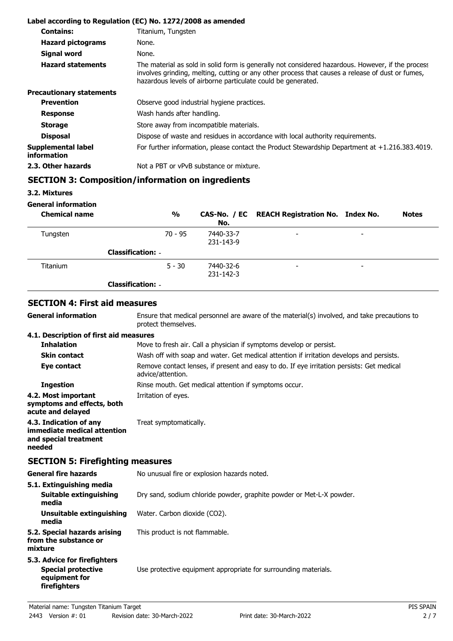|                                          | Label according to Regulation (EC) No. 1272/2008 as amended                                                                                                                                                                                                           |
|------------------------------------------|-----------------------------------------------------------------------------------------------------------------------------------------------------------------------------------------------------------------------------------------------------------------------|
| <b>Contains:</b>                         | Titanium, Tungsten                                                                                                                                                                                                                                                    |
| <b>Hazard pictograms</b>                 | None.                                                                                                                                                                                                                                                                 |
| <b>Signal word</b>                       | None.                                                                                                                                                                                                                                                                 |
| <b>Hazard statements</b>                 | The material as sold in solid form is generally not considered hazardous. However, if the process<br>involves grinding, melting, cutting or any other process that causes a release of dust or fumes,<br>hazardous levels of airborne particulate could be generated. |
| <b>Precautionary statements</b>          |                                                                                                                                                                                                                                                                       |
| <b>Prevention</b>                        | Observe good industrial hygiene practices.                                                                                                                                                                                                                            |
| <b>Response</b>                          | Wash hands after handling.                                                                                                                                                                                                                                            |
| <b>Storage</b>                           | Store away from incompatible materials.                                                                                                                                                                                                                               |
| <b>Disposal</b>                          | Dispose of waste and residues in accordance with local authority requirements.                                                                                                                                                                                        |
| Supplemental label<br><i>information</i> | For further information, please contact the Product Stewardship Department at $+1.216.383.4019$ .                                                                                                                                                                     |
| 2.3. Other hazards                       | Not a PBT or vPvB substance or mixture.                                                                                                                                                                                                                               |

# **SECTION 3: Composition/information on ingredients**

**3.2. Mixtures**

**General information**

**General information**

| <b>Chemical name</b> | $\frac{0}{0}$            | No.                    | CAS-No. / EC REACH Registration No. Index No. |                          | <b>Notes</b> |
|----------------------|--------------------------|------------------------|-----------------------------------------------|--------------------------|--------------|
| Tungsten             | $70 - 95$                | 7440-33-7<br>231-143-9 | $\overline{\phantom{0}}$                      | $\overline{\phantom{0}}$ |              |
|                      | <b>Classification: -</b> |                        |                                               |                          |              |
| <b>Titanium</b>      | $5 - 30$                 | 7440-32-6<br>231-142-3 | $\overline{\phantom{0}}$                      | -                        |              |
|                      | <b>Classification: -</b> |                        |                                               |                          |              |

## **SECTION 4: First aid measures**

Ensure that medical personnel are aware of the material(s) involved, and take precautions to protect themselves.

### **4.1. Description of first aid measures**

| <b>Inhalation</b>                                                                        | Move to fresh air. Call a physician if symptoms develop or persist.                                            |  |
|------------------------------------------------------------------------------------------|----------------------------------------------------------------------------------------------------------------|--|
| <b>Skin contact</b>                                                                      | Wash off with soap and water. Get medical attention if irritation develops and persists.                       |  |
| Eye contact                                                                              | Remove contact lenses, if present and easy to do. If eye irritation persists: Get medical<br>advice/attention. |  |
| <b>Ingestion</b>                                                                         | Rinse mouth. Get medical attention if symptoms occur.                                                          |  |
| 4.2. Most important<br>symptoms and effects, both<br>acute and delayed                   | Irritation of eyes.                                                                                            |  |
| 4.3. Indication of any<br>immediate medical attention<br>and special treatment<br>needed | Treat symptomatically.                                                                                         |  |

# **SECTION 5: Firefighting measures**

| <b>General fire hazards</b>                                                                | No unusual fire or explosion hazards noted.                          |  |
|--------------------------------------------------------------------------------------------|----------------------------------------------------------------------|--|
| 5.1. Extinguishing media<br>Suitable extinguishing<br>media                                | Dry sand, sodium chloride powder, graphite powder or Met-L-X powder. |  |
| Unsuitable extinguishing<br>media                                                          | Water. Carbon dioxide (CO2).                                         |  |
| 5.2. Special hazards arising<br>from the substance or<br>mixture                           | This product is not flammable.                                       |  |
| 5.3. Advice for firefighters<br><b>Special protective</b><br>equipment for<br>firefighters | Use protective equipment appropriate for surrounding materials.      |  |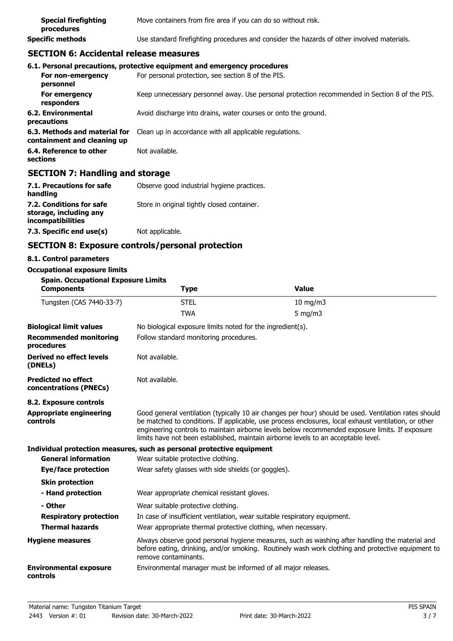| <b>Special firefighting</b><br>procedures | Move containers from fire area if you can do so without risk.                              |
|-------------------------------------------|--------------------------------------------------------------------------------------------|
| <b>Specific methods</b>                   | Use standard firefighting procedures and consider the hazards of other involved materials. |

## **SECTION 6: Accidental release measures**

|                                                              | 6.1. Personal precautions, protective equipment and emergency procedures                      |
|--------------------------------------------------------------|-----------------------------------------------------------------------------------------------|
| For non-emergency<br>personnel                               | For personal protection, see section 8 of the PIS.                                            |
| For emergency<br>responders                                  | Keep unnecessary personnel away. Use personal protection recommended in Section 8 of the PIS. |
| 6.2. Environmental<br>precautions                            | Avoid discharge into drains, water courses or onto the ground.                                |
| 6.3. Methods and material for<br>containment and cleaning up | Clean up in accordance with all applicable regulations.                                       |
| 6.4. Reference to other<br>sections                          | Not available.                                                                                |

## **SECTION 7: Handling and storage**

| 7.1. Precautions for safe<br>handling                                   | Observe good industrial hygiene practices.  |
|-------------------------------------------------------------------------|---------------------------------------------|
| 7.2. Conditions for safe<br>storage, including any<br>incompatibilities | Store in original tightly closed container. |
| 7.3. Specific end use(s)                                                | Not applicable.                             |

# **SECTION 8: Exposure controls/personal protection**

### **8.1. Control parameters**

### **Occupational exposure limits**

| <b>Spain. Occupational Exposure Limits</b><br><b>Components</b> | <b>Type</b>                                                                                                                                                                                                                                                                                                                                                                                            | <b>Value</b>                                                                                                                                                                                        |  |
|-----------------------------------------------------------------|--------------------------------------------------------------------------------------------------------------------------------------------------------------------------------------------------------------------------------------------------------------------------------------------------------------------------------------------------------------------------------------------------------|-----------------------------------------------------------------------------------------------------------------------------------------------------------------------------------------------------|--|
| Tungsten (CAS 7440-33-7)                                        | <b>STEL</b>                                                                                                                                                                                                                                                                                                                                                                                            | $10$ mg/m $3$                                                                                                                                                                                       |  |
|                                                                 | <b>TWA</b>                                                                                                                                                                                                                                                                                                                                                                                             | $5$ mg/m $3$                                                                                                                                                                                        |  |
| <b>Biological limit values</b>                                  | No biological exposure limits noted for the ingredient(s).                                                                                                                                                                                                                                                                                                                                             |                                                                                                                                                                                                     |  |
| <b>Recommended monitoring</b><br>procedures                     |                                                                                                                                                                                                                                                                                                                                                                                                        | Follow standard monitoring procedures.                                                                                                                                                              |  |
| <b>Derived no effect levels</b><br>(DNELs)                      | Not available.                                                                                                                                                                                                                                                                                                                                                                                         |                                                                                                                                                                                                     |  |
| <b>Predicted no effect</b><br>concentrations (PNECs)            | Not available.                                                                                                                                                                                                                                                                                                                                                                                         |                                                                                                                                                                                                     |  |
| 8.2. Exposure controls                                          |                                                                                                                                                                                                                                                                                                                                                                                                        |                                                                                                                                                                                                     |  |
| <b>Appropriate engineering</b><br>controls                      | Good general ventilation (typically 10 air changes per hour) should be used. Ventilation rates should<br>be matched to conditions. If applicable, use process enclosures, local exhaust ventilation, or other<br>engineering controls to maintain airborne levels below recommended exposure limits. If exposure<br>limits have not been established, maintain airborne levels to an acceptable level. |                                                                                                                                                                                                     |  |
|                                                                 | Individual protection measures, such as personal protective equipment                                                                                                                                                                                                                                                                                                                                  |                                                                                                                                                                                                     |  |
| <b>General information</b>                                      | Wear suitable protective clothing.                                                                                                                                                                                                                                                                                                                                                                     |                                                                                                                                                                                                     |  |
| Eye/face protection                                             | Wear safety glasses with side shields (or goggles).                                                                                                                                                                                                                                                                                                                                                    |                                                                                                                                                                                                     |  |
| <b>Skin protection</b>                                          |                                                                                                                                                                                                                                                                                                                                                                                                        |                                                                                                                                                                                                     |  |
| - Hand protection                                               | Wear appropriate chemical resistant gloves.                                                                                                                                                                                                                                                                                                                                                            |                                                                                                                                                                                                     |  |
| - Other                                                         | Wear suitable protective clothing.                                                                                                                                                                                                                                                                                                                                                                     |                                                                                                                                                                                                     |  |
| <b>Respiratory protection</b>                                   | In case of insufficient ventilation, wear suitable respiratory equipment.                                                                                                                                                                                                                                                                                                                              |                                                                                                                                                                                                     |  |
| <b>Thermal hazards</b>                                          | Wear appropriate thermal protective clothing, when necessary.                                                                                                                                                                                                                                                                                                                                          |                                                                                                                                                                                                     |  |
| <b>Hygiene measures</b>                                         | remove contaminants.                                                                                                                                                                                                                                                                                                                                                                                   | Always observe good personal hygiene measures, such as washing after handling the material and<br>before eating, drinking, and/or smoking. Routinely wash work clothing and protective equipment to |  |
| <b>Environmental exposure</b><br>controls                       | Environmental manager must be informed of all major releases.                                                                                                                                                                                                                                                                                                                                          |                                                                                                                                                                                                     |  |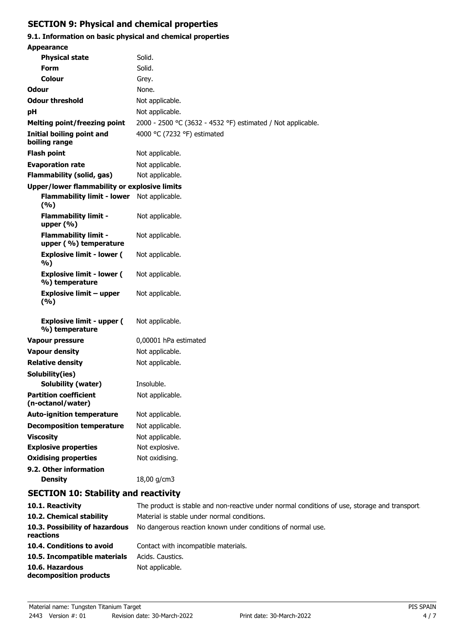# **SECTION 9: Physical and chemical properties**

# **9.1. Information on basic physical and chemical properties**

| <b>Appearance</b>                                    |                                                             |  |
|------------------------------------------------------|-------------------------------------------------------------|--|
| <b>Physical state</b>                                | Solid.                                                      |  |
| <b>Form</b>                                          | Solid.                                                      |  |
| Colour                                               | Grey.                                                       |  |
| Odour                                                | None.                                                       |  |
| <b>Odour threshold</b>                               | Not applicable.                                             |  |
| рH                                                   | Not applicable.                                             |  |
| <b>Melting point/freezing point</b>                  | 2000 - 2500 °C (3632 - 4532 °F) estimated / Not applicable. |  |
| Initial boiling point and<br>boiling range           | 4000 °C (7232 °F) estimated                                 |  |
| <b>Flash point</b>                                   | Not applicable.                                             |  |
| <b>Evaporation rate</b>                              | Not applicable.                                             |  |
| <b>Flammability (solid, gas)</b>                     | Not applicable.                                             |  |
| Upper/lower flammability or explosive limits         |                                                             |  |
| <b>Flammability limit - lower</b><br>(%)             | Not applicable.                                             |  |
| <b>Flammability limit -</b><br>upper (%)             | Not applicable.                                             |  |
| <b>Flammability limit -</b><br>upper (%) temperature | Not applicable.                                             |  |
| <b>Explosive limit - lower (</b><br>%)               | Not applicable.                                             |  |
| <b>Explosive limit - lower (</b><br>%) temperature   | Not applicable.                                             |  |
| <b>Explosive limit - upper</b><br>(%)                | Not applicable.                                             |  |
| <b>Explosive limit - upper (</b><br>%) temperature   | Not applicable.                                             |  |
| <b>Vapour pressure</b>                               | 0,00001 hPa estimated                                       |  |
| <b>Vapour density</b>                                | Not applicable.                                             |  |
| <b>Relative density</b>                              | Not applicable.                                             |  |
| Solubility(ies)                                      |                                                             |  |
| Solubility (water)                                   | Insoluble.                                                  |  |
| <b>Partition coefficient</b><br>(n-octanol/water)    | Not applicable.                                             |  |
| <b>Auto-ignition temperature</b>                     | Not applicable.                                             |  |
| <b>Decomposition temperature</b>                     | Not applicable.                                             |  |
| <b>Viscosity</b>                                     | Not applicable.                                             |  |
| <b>Explosive properties</b>                          | Not explosive.                                              |  |
| <b>Oxidising properties</b>                          | Not oxidising.                                              |  |
| 9.2. Other information                               |                                                             |  |
| <b>Density</b>                                       | 18,00 g/cm3                                                 |  |
| <b>SECTION 10: Stability and reactivity</b>          |                                                             |  |

| 10.1. Reactivity                            | The product is stable and non-reactive under normal conditions of use, storage and transport. |
|---------------------------------------------|-----------------------------------------------------------------------------------------------|
| 10.2. Chemical stability                    | Material is stable under normal conditions.                                                   |
| 10.3. Possibility of hazardous<br>reactions | No dangerous reaction known under conditions of normal use.                                   |
| 10.4. Conditions to avoid                   | Contact with incompatible materials.                                                          |
| 10.5. Incompatible materials                | Acids, Caustics,                                                                              |
| 10.6. Hazardous<br>decomposition products   | Not applicable.                                                                               |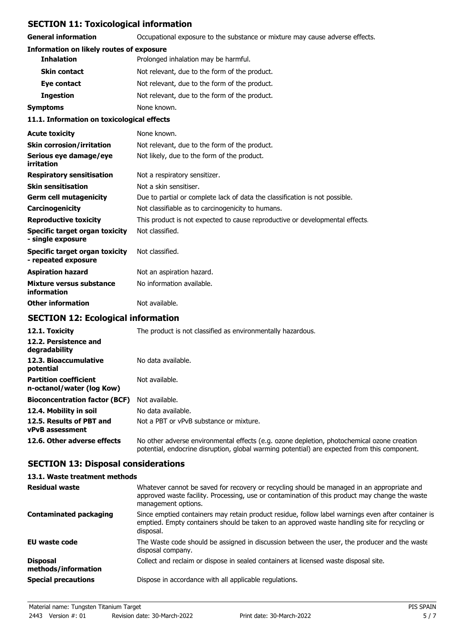# **SECTION 11: Toxicological information**

**General information CCCUPATION** Occupational exposure to the substance or mixture may cause adverse effects.

### **Information on likely routes of exposure**

| <b>Inhalation</b>   | Prolonged inhalation may be harmful.          |  |
|---------------------|-----------------------------------------------|--|
| <b>Skin contact</b> | Not relevant, due to the form of the product. |  |
| Eye contact         | Not relevant, due to the form of the product. |  |
| <b>Ingestion</b>    | Not relevant, due to the form of the product. |  |
| Symptoms            | None known.                                   |  |
|                     |                                               |  |

#### **11.1. Information on toxicological effects**

| <b>Acute toxicity</b>                                      | None known.                                                                  |
|------------------------------------------------------------|------------------------------------------------------------------------------|
| <b>Skin corrosion/irritation</b>                           | Not relevant, due to the form of the product.                                |
| Serious eye damage/eye<br>irritation                       | Not likely, due to the form of the product.                                  |
| <b>Respiratory sensitisation</b>                           | Not a respiratory sensitizer.                                                |
| <b>Skin sensitisation</b>                                  | Not a skin sensitiser.                                                       |
| <b>Germ cell mutagenicity</b>                              | Due to partial or complete lack of data the classification is not possible.  |
| Carcinogenicity                                            | Not classifiable as to carcinogenicity to humans.                            |
| <b>Reproductive toxicity</b>                               | This product is not expected to cause reproductive or developmental effects. |
| <b>Specific target organ toxicity</b><br>- single exposure | Not classified.                                                              |
| Specific target organ toxicity<br>- repeated exposure      | Not classified.                                                              |
| <b>Aspiration hazard</b>                                   | Not an aspiration hazard.                                                    |
| Mixture versus substance<br>information                    | No information available.                                                    |
| <b>Other information</b>                                   | Not available.                                                               |

# **SECTION 12: Ecological information**

| 12.1. Toxicity                                            | The product is not classified as environmentally hazardous.                                                                                                                                |
|-----------------------------------------------------------|--------------------------------------------------------------------------------------------------------------------------------------------------------------------------------------------|
| 12.2. Persistence and<br>degradability                    |                                                                                                                                                                                            |
| 12.3. Bioaccumulative<br>potential                        | No data available.                                                                                                                                                                         |
| <b>Partition coefficient</b><br>n-octanol/water (log Kow) | Not available.                                                                                                                                                                             |
| <b>Bioconcentration factor (BCF)</b>                      | Not available.                                                                                                                                                                             |
| 12.4. Mobility in soil                                    | No data available.                                                                                                                                                                         |
| 12.5. Results of PBT and<br>vPvB assessment               | Not a PBT or vPvB substance or mixture.                                                                                                                                                    |
| 12.6. Other adverse effects                               | No other adverse environmental effects (e.g. ozone depletion, photochemical ozone creation<br>potential, endocrine disruption, global warming potential) are expected from this component. |

## **SECTION 13: Disposal considerations**

| 13.1. Waste treatment methods          |                                                                                                                                                                                                                     |
|----------------------------------------|---------------------------------------------------------------------------------------------------------------------------------------------------------------------------------------------------------------------|
| <b>Residual waste</b>                  | Whatever cannot be saved for recovery or recycling should be managed in an appropriate and<br>approved waste facility. Processing, use or contamination of this product may change the waste<br>management options. |
| <b>Contaminated packaging</b>          | Since emptied containers may retain product residue, follow label warnings even after container is<br>emptied. Empty containers should be taken to an approved waste handling site for recycling or<br>disposal.    |
| EU waste code                          | The Waste code should be assigned in discussion between the user, the producer and the waste<br>disposal company.                                                                                                   |
| <b>Disposal</b><br>methods/information | Collect and reclaim or dispose in sealed containers at licensed waste disposal site.                                                                                                                                |
| <b>Special precautions</b>             | Dispose in accordance with all applicable regulations.                                                                                                                                                              |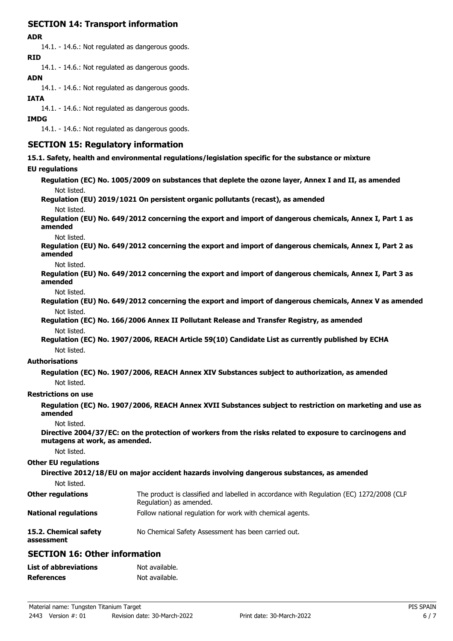# **SECTION 14: Transport information**

#### **ADR**

14.1. - 14.6.: Not regulated as dangerous goods. **RID**

14.1. - 14.6.: Not regulated as dangerous goods.

## **ADN**

14.1. - 14.6.: Not regulated as dangerous goods.

### **IATA**

14.1. - 14.6.: Not regulated as dangerous goods.

### **IMDG**

14.1. - 14.6.: Not regulated as dangerous goods.

## **SECTION 15: Regulatory information**

**15.1. Safety, health and environmental regulations/legislation specific for the substance or mixture**

### **EU regulati**

| <b>EU regulations</b>               |                                                                                                                     |
|-------------------------------------|---------------------------------------------------------------------------------------------------------------------|
|                                     | Regulation (EC) No. 1005/2009 on substances that deplete the ozone layer, Annex I and II, as amended                |
| Not listed.                         |                                                                                                                     |
|                                     | Regulation (EU) 2019/1021 On persistent organic pollutants (recast), as amended                                     |
| Not listed.                         |                                                                                                                     |
| amended                             | Regulation (EU) No. 649/2012 concerning the export and import of dangerous chemicals, Annex I, Part 1 as            |
| Not listed.                         |                                                                                                                     |
| amended                             | Regulation (EU) No. 649/2012 concerning the export and import of dangerous chemicals, Annex I, Part 2 as            |
| Not listed.                         |                                                                                                                     |
| amended                             | Regulation (EU) No. 649/2012 concerning the export and import of dangerous chemicals, Annex I, Part 3 as            |
| Not listed.                         |                                                                                                                     |
|                                     | Regulation (EU) No. 649/2012 concerning the export and import of dangerous chemicals, Annex V as amended            |
| Not listed.                         |                                                                                                                     |
|                                     | Regulation (EC) No. 166/2006 Annex II Pollutant Release and Transfer Registry, as amended                           |
| Not listed.                         |                                                                                                                     |
|                                     | Regulation (EC) No. 1907/2006, REACH Article 59(10) Candidate List as currently published by ECHA                   |
| Not listed.                         |                                                                                                                     |
| <b>Authorisations</b>               |                                                                                                                     |
|                                     | Regulation (EC) No. 1907/2006, REACH Annex XIV Substances subject to authorization, as amended                      |
| Not listed.                         |                                                                                                                     |
| <b>Restrictions on use</b>          |                                                                                                                     |
| amended                             | Regulation (EC) No. 1907/2006, REACH Annex XVII Substances subject to restriction on marketing and use as           |
| Not listed.                         |                                                                                                                     |
| mutagens at work, as amended.       | Directive 2004/37/EC: on the protection of workers from the risks related to exposure to carcinogens and            |
| Not listed.                         |                                                                                                                     |
| <b>Other EU regulations</b>         |                                                                                                                     |
|                                     | Directive 2012/18/EU on major accident hazards involving dangerous substances, as amended                           |
| Not listed.                         |                                                                                                                     |
| <b>Other regulations</b>            | The product is classified and labelled in accordance with Regulation (EC) 1272/2008 (CLP<br>Regulation) as amended. |
| <b>National regulations</b>         | Follow national regulation for work with chemical agents.                                                           |
| 15.2. Chemical safety<br>assessment | No Chemical Safety Assessment has been carried out.                                                                 |

## **SECTION 16: Other information**

| <b>List of abbreviations</b> | Not available. |
|------------------------------|----------------|
| <b>References</b>            | Not available. |